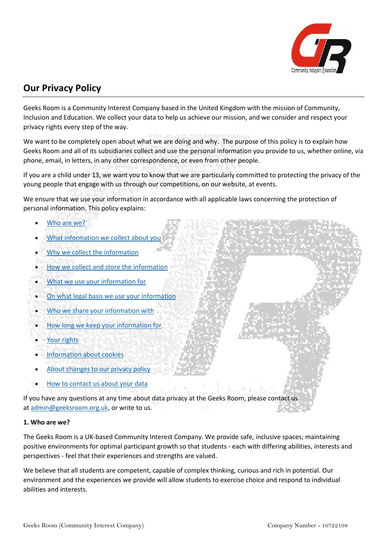

# **Our Privacy Policy**

Geeks Room is a Community Interest Company based in the United Kingdom with the mission of Community, Inclusion and Education. We collect your data to help us achieve our mission, and we consider and respect your privacy rights every step of the way.

We want to be completely open about what we are doing and why. The purpose of this policy is to explain how Geeks Room and all of its subsidiaries collect and use the personal information you provide to us, whether online, via phone, email, in letters, in any other correspondence, or even from other people.

If you are a child under 13, we want you to know that we are particularly committed to protecting the privacy of the young people that engage with us through our competitions, on our website, at events.

We ensure that we use your information in accordance with all applicable laws concerning the protection of personal information. This policy explains:

- [Who are we?](https://www.raspberrypi.org/privacy/#who-are-we)
- [What information we collect about you](https://www.raspberrypi.org/privacy/#what-info)
- [Why we collect the](https://www.raspberrypi.org/privacy/#why-we-collect) information
- [How we collect and store the information](https://www.raspberrypi.org/privacy/#how-we-collect)
- [What we use your information for](https://www.raspberrypi.org/privacy/#what-use)
- [On what legal basis we use your information](https://www.raspberrypi.org/privacy/#legal-basis)
- [Who we share your information with](https://www.raspberrypi.org/privacy/#who-share)
- [How long we keep your information for](https://www.raspberrypi.org/privacy/#how-long)
- [Your rights](https://www.raspberrypi.org/privacy/#your-rights)
- [Information about cookies](https://www.raspberrypi.org/privacy/#cookie-info)
- [About changes to our privacy policy](https://www.raspberrypi.org/privacy/#privacy-changes)
- [How to contact us about your data](https://www.raspberrypi.org/privacy/#how-contact-us)

If you have any questions at any time about data privacy at the Geeks Room, please contact us at [admin@geeksroom.org.uk,](mailto:admin@geeksroom.org.uk) or write to us.

## **1. Who are we?**

The Geeks Room is a UK-based Community Interest Company. We provide safe, inclusive spaces; maintaining positive environments for optimal participant growth so that students - each with differing abilities, interests and perspectives - feel that their experiences and strengths are valued.

We believe that all students are competent, capable of complex thinking, curious and rich in potential. Our environment and the experiences we provide will allow students to exercise choice and respond to individual abilities and interests.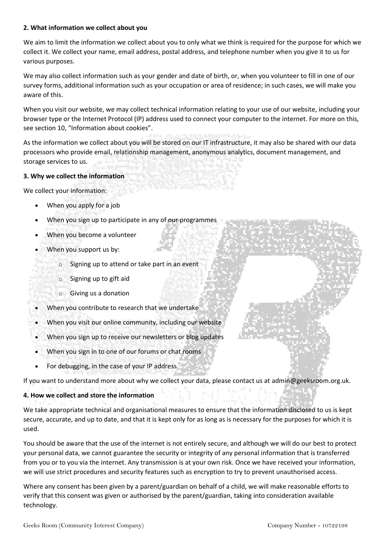#### **2. What information we collect about you**

We aim to limit the information we collect about you to only what we think is required for the purpose for which we collect it. We collect your name, email address, postal address, and telephone number when you give it to us for various purposes.

We may also collect information such as your gender and date of birth, or, when you volunteer to fill in one of our survey forms, additional information such as your occupation or area of residence; in such cases, we will make you aware of this.

When you visit our website, we may collect technical information relating to your use of our website, including your browser type or the Internet Protocol (IP) address used to connect your computer to the internet. For more on this, see section 10, "Information about cookies".

As the information we collect about you will be stored on our IT infrastructure, it may also be shared with our data processors who provide email, relationship management, anonymous analytics, document management, and storage services to us.

## **3. Why we collect the information**

We collect your information:

- When you apply for a job
- When you sign up to participate in any of our programmes
- When you become a volunteer
- When you support us by:
	- $\circ$  Signing up to attend or take part in an event
	- o Signing up to gift aid
	- o Giving us a donation
- When you contribute to research that we undertake
- When you visit our online community, including our website
- When you sign up to receive our newsletters or blog updates
- When you sign in to one of our forums or chat rooms
- For debugging, in the case of your IP address

If you want to understand more about why we collect your data, please contact us at admin@geeksroom.org.uk.

## **4. How we collect and store the information**

We take appropriate technical and organisational measures to ensure that the information disclosed to us is kept secure, accurate, and up to date, and that it is kept only for as long as is necessary for the purposes for which it is used.

You should be aware that the use of the internet is not entirely secure, and although we will do our best to protect your personal data, we cannot guarantee the security or integrity of any personal information that is transferred from you or to you via the internet. Any transmission is at your own risk. Once we have received your information, we will use strict procedures and security features such as encryption to try to prevent unauthorised access.

Where any consent has been given by a parent/guardian on behalf of a child, we will make reasonable efforts to verify that this consent was given or authorised by the parent/guardian, taking into consideration available technology.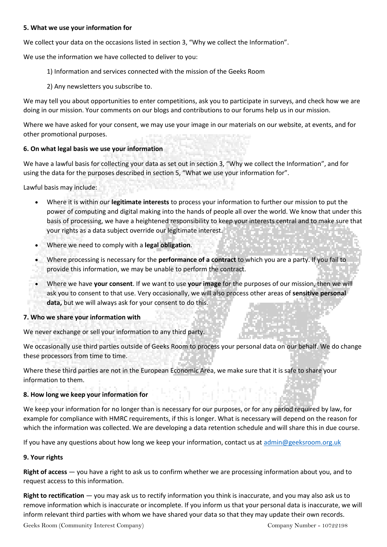#### **5. What we use your information for**

We collect your data on the occasions listed in section 3, "Why we collect the Information".

We use the information we have collected to deliver to you:

- 1) Information and services connected with the mission of the Geeks Room
- 2) Any newsletters you subscribe to.

We may tell you about opportunities to enter competitions, ask you to participate in surveys, and check how we are doing in our mission. Your comments on our blogs and contributions to our forums help us in our mission.

Where we have asked for your consent, we may use your image in our materials on our website, at events, and for other promotional purposes.

### **6. On what legal basis we use your information**

We have a lawful basis for collecting your data as set out in section 3, "Why we collect the Information", and for using the data for the purposes described in section 5, "What we use your information for".

Lawful basis may include:

- Where it is within our **legitimate interests** to process your information to further our mission to put the power of computing and digital making into the hands of people all over the world. We know that under this basis of processing, we have a heightened responsibility to keep your interests central and to make sure that your rights as a data subject override our legitimate interest.
- Where we need to comply with a **legal obligation**.
- Where processing is necessary for the **performance of a contract** to which you are a party. If you fail to provide this information, we may be unable to perform the contract.
- Where we have **your consent**. If we want to use **your image** for the purposes of our mission, then we will ask you to consent to that use. Very occasionally, we will also process other areas of **sensitive personal data,** but we will always ask for your consent to do this.

#### **7. Who we share your information with**

We never exchange or sell your information to any third party.

We occasionally use third parties outside of Geeks Room to process your personal data on our behalf. We do change these processors from time to time.

Where these third parties are not in the European Economic Area, we make sure that it is safe to share your information to them.

#### **8. How long we keep your information for**

We keep your information for no longer than is necessary for our purposes, or for any period required by law, for example for compliance with HMRC requirements, if this is longer. What is necessary will depend on the reason for which the information was collected. We are developing a data retention schedule and will share this in due course.

If you have any questions about how long we keep your information, contact us at [admin@geeksroom.org.uk](mailto:ask@geeksroom.org.uk)

#### **9. Your rights**

**Right of access** — you have a right to ask us to confirm whether we are processing information about you, and to request access to this information.

**Right to rectification** — you may ask us to rectify information you think is inaccurate, and you may also ask us to remove information which is inaccurate or incomplete. If you inform us that your personal data is inaccurate, we will inform relevant third parties with whom we have shared your data so that they may update their own records.